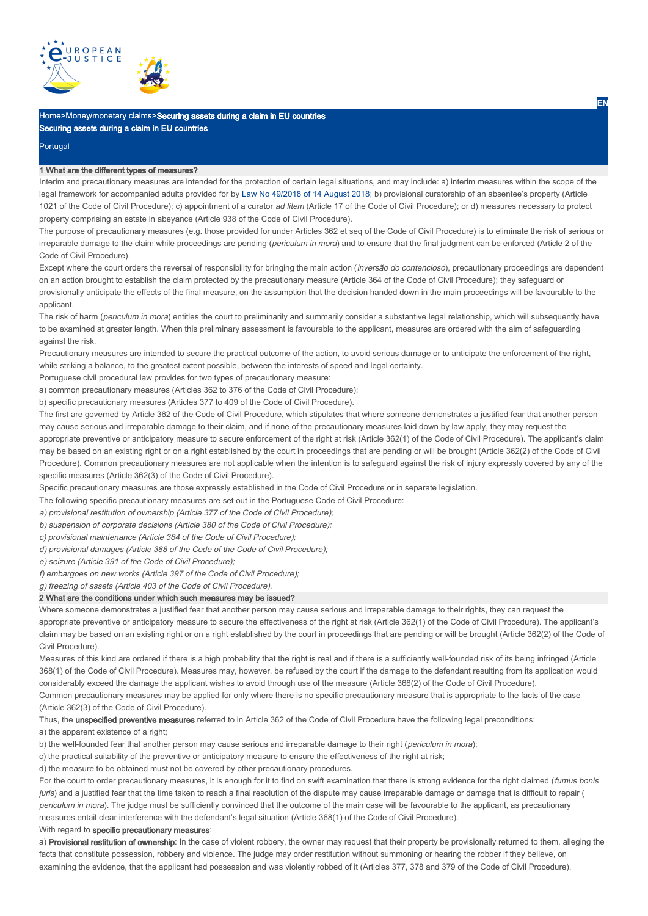

# Home>Money/monetary claims>Securing assets during a claim in EU countries Securing assets during a claim in EU countries

Portugal

#### 1 What are the different types of measures?

Interim and precautionary measures are intended for the protection of certain legal situations, and may include: a) interim measures within the scope of the legal framework for accompanied adults provided for by Law No 49/2018 of 14 August 2018; b) provisional curatorship of an absentee's property (Article 1021 of the Code of Civil Procedure); c) appointment of a curator ad litem (Article 17 of the Code of Civil Procedure); or d) measures necessary to protect property comprising an estate in abeyance (Article 938 of the Code of Civil Procedure).

The purpose of precautionary measures (e.g. those provided for under Articles 362 et seq of the Code of Civil Procedure) is to eliminate the risk of serious or irreparable damage to the claim while proceedings are pending (periculum in mora) and to ensure that the final judgment can be enforced (Article 2 of the Code of Civil Procedure).

Except where the court orders the reversal of responsibility for bringing the main action (inversão do contencioso), precautionary proceedings are dependent on an action brought to establish the claim protected by the precautionary measure (Article 364 of the Code of Civil Procedure); they safeguard or provisionally anticipate the effects of the final measure, on the assumption that the decision handed down in the main proceedings will be favourable to the applicant.

The risk of harm (periculum in mora) entitles the court to preliminarily and summarily consider a substantive legal relationship, which will subsequently have to be examined at greater length. When this preliminary assessment is favourable to the applicant, measures are ordered with the aim of safeguarding against the risk.

Precautionary measures are intended to secure the practical outcome of the action, to avoid serious damage or to anticipate the enforcement of the right, while striking a balance, to the greatest extent possible, between the interests of speed and legal certainty.

Portuguese civil procedural law provides for two types of precautionary measure:

a) common precautionary measures (Articles 362 to 376 of the Code of Civil Procedure);

b) specific precautionary measures (Articles 377 to 409 of the Code of Civil Procedure).

The first are governed by Article 362 of the Code of Civil Procedure, which stipulates that where someone demonstrates a justified fear that another person may cause serious and irreparable damage to their claim, and if none of the precautionary measures laid down by law apply, they may request the

appropriate preventive or anticipatory measure to secure enforcement of the right at risk (Article 362(1) of the Code of Civil Procedure). The applicant's claim may be based on an existing right or on a right established by the court in proceedings that are pending or will be brought (Article 362(2) of the Code of Civil Procedure). Common precautionary measures are not applicable when the intention is to safeguard against the risk of injury expressly covered by any of the specific measures (Article 362(3) of the Code of Civil Procedure).

Specific precautionary measures are those expressly established in the Code of Civil Procedure or in separate legislation.

The following specific precautionary measures are set out in the Portuguese Code of Civil Procedure:

a) provisional restitution of ownership (Article 377 of the Code of Civil Procedure);

b) suspension of corporate decisions (Article 380 of the Code of Civil Procedure);

c) provisional maintenance (Article 384 of the Code of Civil Procedure);

d) provisional damages (Article 388 of the Code of the Code of Civil Procedure);

e) seizure (Article 391 of the Code of Civil Procedure);

f) embargoes on new works (Article 397 of the Code of Civil Procedure);

g) freezing of assets (Article 403 of the Code of Civil Procedure).

#### 2 What are the conditions under which such measures may be issued?

Where someone demonstrates a justified fear that another person may cause serious and irreparable damage to their rights, they can request the appropriate preventive or anticipatory measure to secure the effectiveness of the right at risk (Article 362(1) of the Code of Civil Procedure). The applicant's claim may be based on an existing right or on a right established by the court in proceedings that are pending or will be brought (Article 362(2) of the Code of Civil Procedure).

Measures of this kind are ordered if there is a high probability that the right is real and if there is a sufficiently well-founded risk of its being infringed (Article 368(1) of the Code of Civil Procedure). Measures may, however, be refused by the court if the damage to the defendant resulting from its application would considerably exceed the damage the applicant wishes to avoid through use of the measure (Article 368(2) of the Code of Civil Procedure).

Common precautionary measures may be applied for only where there is no specific precautionary measure that is appropriate to the facts of the case (Article 362(3) of the Code of Civil Procedure).

Thus, the unspecified preventive measures referred to in Article 362 of the Code of Civil Procedure have the following legal preconditions:

a) the apparent existence of a right;

b) the well-founded fear that another person may cause serious and irreparable damage to their right (periculum in mora);

c) the practical suitability of the preventive or anticipatory measure to ensure the effectiveness of the right at risk;

d) the measure to be obtained must not be covered by other precautionary procedures.

For the court to order precautionary measures, it is enough for it to find on swift examination that there is strong evidence for the right claimed (fumus bonis juris) and a justified fear that the time taken to reach a final resolution of the dispute may cause irreparable damage or damage that is difficult to repair ( periculum in mora). The judge must be sufficiently convinced that the outcome of the main case will be favourable to the applicant, as precautionary measures entail clear interference with the defendant's legal situation (Article 368(1) of the Code of Civil Procedure).

## With regard to specific precautionary measures:

a) Provisional restitution of ownership: In the case of violent robbery, the owner may request that their property be provisionally returned to them, alleging the facts that constitute possession, robbery and violence. The judge may order restitution without summoning or hearing the robber if they believe, on examining the evidence, that the applicant had possession and was violently robbed of it (Articles 377, 378 and 379 of the Code of Civil Procedure).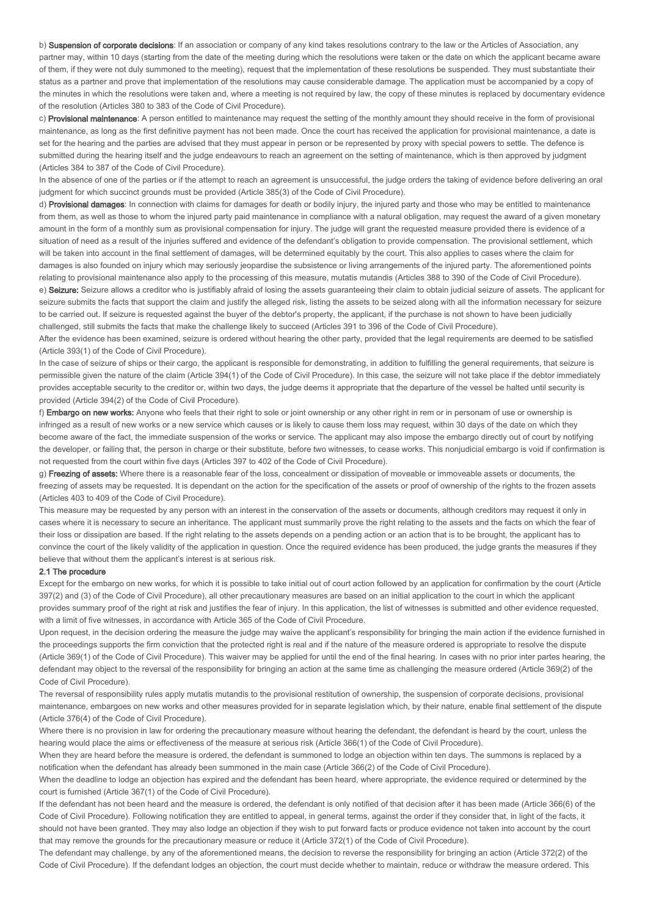b) Suspension of corporate decisions: If an association or company of any kind takes resolutions contrary to the law or the Articles of Association, any partner may, within 10 days (starting from the date of the meeting during which the resolutions were taken or the date on which the applicant became aware of them, if they were not duly summoned to the meeting), request that the implementation of these resolutions be suspended. They must substantiate their status as a partner and prove that implementation of the resolutions may cause considerable damage. The application must be accompanied by a copy of the minutes in which the resolutions were taken and, where a meeting is not required by law, the copy of these minutes is replaced by documentary evidence of the resolution (Articles 380 to 383 of the Code of Civil Procedure).

c) Provisional maintenance: A person entitled to maintenance may request the setting of the monthly amount they should receive in the form of provisional maintenance, as long as the first definitive payment has not been made. Once the court has received the application for provisional maintenance, a date is set for the hearing and the parties are advised that they must appear in person or be represented by proxy with special powers to settle. The defence is submitted during the hearing itself and the judge endeavours to reach an agreement on the setting of maintenance, which is then approved by judgment (Articles 384 to 387 of the Code of Civil Procedure).

In the absence of one of the parties or if the attempt to reach an agreement is unsuccessful, the judge orders the taking of evidence before delivering an oral judgment for which succinct grounds must be provided (Article 385(3) of the Code of Civil Procedure).

d) Provisional damages: In connection with claims for damages for death or bodily injury, the injured party and those who may be entitled to maintenance from them, as well as those to whom the injured party paid maintenance in compliance with a natural obligation, may request the award of a given monetary amount in the form of a monthly sum as provisional compensation for injury. The judge will grant the requested measure provided there is evidence of a situation of need as a result of the injuries suffered and evidence of the defendant's obligation to provide compensation. The provisional settlement, which will be taken into account in the final settlement of damages, will be determined equitably by the court. This also applies to cases where the claim for damages is also founded on injury which may seriously jeopardise the subsistence or living arrangements of the injured party. The aforementioned points relating to provisional maintenance also apply to the processing of this measure, mutatis mutandis (Articles 388 to 390 of the Code of Civil Procedure). e) Seizure: Seizure allows a creditor who is justifiably afraid of losing the assets guaranteeing their claim to obtain judicial seizure of assets. The applicant for seizure submits the facts that support the claim and justify the alleged risk, listing the assets to be seized along with all the information necessary for seizure

to be carried out. If seizure is requested against the buyer of the debtor's property, the applicant, if the purchase is not shown to have been judicially challenged, still submits the facts that make the challenge likely to succeed (Articles 391 to 396 of the Code of Civil Procedure).

After the evidence has been examined, seizure is ordered without hearing the other party, provided that the legal requirements are deemed to be satisfied (Article 393(1) of the Code of Civil Procedure).

In the case of seizure of ships or their cargo, the applicant is responsible for demonstrating, in addition to fulfilling the general requirements, that seizure is permissible given the nature of the claim (Article 394(1) of the Code of Civil Procedure). In this case, the seizure will not take place if the debtor immediately provides acceptable security to the creditor or, within two days, the judge deems it appropriate that the departure of the vessel be halted until security is provided (Article 394(2) of the Code of Civil Procedure).

f) Embargo on new works: Anyone who feels that their right to sole or joint ownership or any other right in rem or in personam of use or ownership is infringed as a result of new works or a new service which causes or is likely to cause them loss may request, within 30 days of the date on which they become aware of the fact, the immediate suspension of the works or service. The applicant may also impose the embargo directly out of court by notifying the developer, or failing that, the person in charge or their substitute, before two witnesses, to cease works. This nonjudicial embargo is void if confirmation is not requested from the court within five days (Articles 397 to 402 of the Code of Civil Procedure).

g) Freezing of assets: Where there is a reasonable fear of the loss, concealment or dissipation of moveable or immoveable assets or documents, the freezing of assets may be requested. It is dependant on the action for the specification of the assets or proof of ownership of the rights to the frozen assets (Articles 403 to 409 of the Code of Civil Procedure).

This measure may be requested by any person with an interest in the conservation of the assets or documents, although creditors may request it only in cases where it is necessary to secure an inheritance. The applicant must summarily prove the right relating to the assets and the facts on which the fear of their loss or dissipation are based. If the right relating to the assets depends on a pending action or an action that is to be brought, the applicant has to convince the court of the likely validity of the application in question. Once the required evidence has been produced, the judge grants the measures if they believe that without them the applicant's interest is at serious risk.

## 2.1 The procedure

Except for the embargo on new works, for which it is possible to take initial out of court action followed by an application for confirmation by the court (Article 397(2) and (3) of the Code of Civil Procedure), all other precautionary measures are based on an initial application to the court in which the applicant provides summary proof of the right at risk and justifies the fear of injury. In this application, the list of witnesses is submitted and other evidence requested, with a limit of five witnesses, in accordance with Article 365 of the Code of Civil Procedure.

Upon request, in the decision ordering the measure the judge may waive the applicant's responsibility for bringing the main action if the evidence furnished in the proceedings supports the firm conviction that the protected right is real and if the nature of the measure ordered is appropriate to resolve the dispute (Article 369(1) of the Code of Civil Procedure). This waiver may be applied for until the end of the final hearing. In cases with no prior inter partes hearing, the defendant may object to the reversal of the responsibility for bringing an action at the same time as challenging the measure ordered (Article 369(2) of the Code of Civil Procedure).

The reversal of responsibility rules apply mutatis mutandis to the provisional restitution of ownership, the suspension of corporate decisions, provisional maintenance, embargoes on new works and other measures provided for in separate legislation which, by their nature, enable final settlement of the dispute (Article 376(4) of the Code of Civil Procedure).

Where there is no provision in law for ordering the precautionary measure without hearing the defendant, the defendant is heard by the court, unless the hearing would place the aims or effectiveness of the measure at serious risk (Article 366(1) of the Code of Civil Procedure).

When they are heard before the measure is ordered, the defendant is summoned to lodge an objection within ten days. The summons is replaced by a notification when the defendant has already been summoned in the main case (Article 366(2) of the Code of Civil Procedure).

When the deadline to lodge an objection has expired and the defendant has been heard, where appropriate, the evidence required or determined by the court is furnished (Article 367(1) of the Code of Civil Procedure).

If the defendant has not been heard and the measure is ordered, the defendant is only notified of that decision after it has been made (Article 366(6) of the Code of Civil Procedure). Following notification they are entitled to appeal, in general terms, against the order if they consider that, in light of the facts, it should not have been granted. They may also lodge an objection if they wish to put forward facts or produce evidence not taken into account by the court that may remove the grounds for the precautionary measure or reduce it (Article 372(1) of the Code of Civil Procedure).

The defendant may challenge, by any of the aforementioned means, the decision to reverse the responsibility for bringing an action (Article 372(2) of the Code of Civil Procedure). If the defendant lodges an objection, the court must decide whether to maintain, reduce or withdraw the measure ordered. This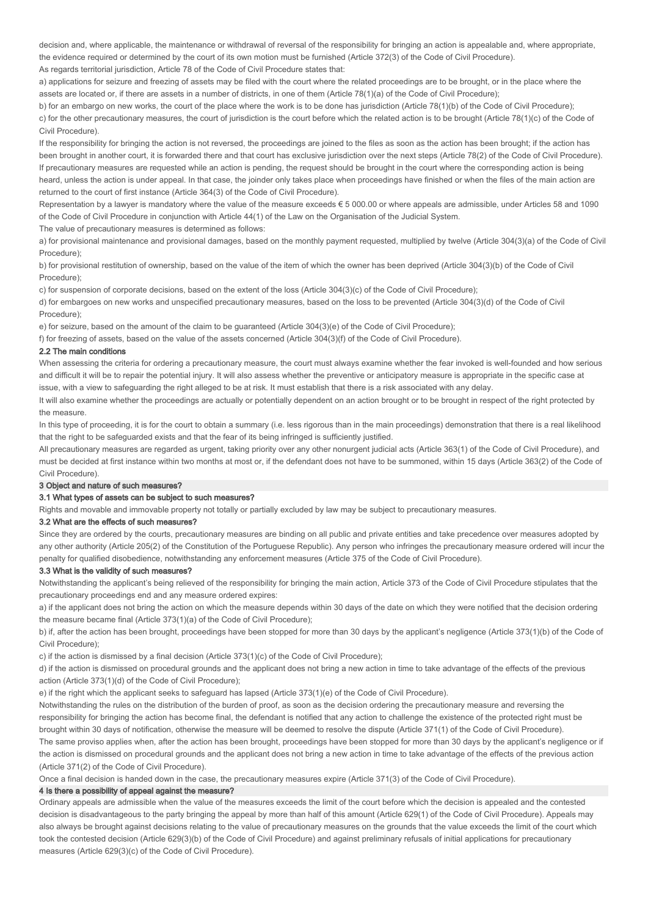decision and, where applicable, the maintenance or withdrawal of reversal of the responsibility for bringing an action is appealable and, where appropriate, the evidence required or determined by the court of its own motion must be furnished (Article 372(3) of the Code of Civil Procedure).

As regards territorial jurisdiction, Article 78 of the Code of Civil Procedure states that:

a) applications for seizure and freezing of assets may be filed with the court where the related proceedings are to be brought, or in the place where the assets are located or, if there are assets in a number of districts, in one of them (Article 78(1)(a) of the Code of Civil Procedure);

b) for an embargo on new works, the court of the place where the work is to be done has jurisdiction (Article 78(1)(b) of the Code of Civil Procedure); c) for the other precautionary measures, the court of jurisdiction is the court before which the related action is to be brought (Article 78(1)(c) of the Code of Civil Procedure).

If the responsibility for bringing the action is not reversed, the proceedings are joined to the files as soon as the action has been brought; if the action has been brought in another court, it is forwarded there and that court has exclusive jurisdiction over the next steps (Article 78(2) of the Code of Civil Procedure). If precautionary measures are requested while an action is pending, the request should be brought in the court where the corresponding action is being heard, unless the action is under appeal. In that case, the joinder only takes place when proceedings have finished or when the files of the main action are returned to the court of first instance (Article 364(3) of the Code of Civil Procedure).

Representation by a lawyer is mandatory where the value of the measure exceeds € 5 000.00 or where appeals are admissible, under Articles 58 and 1090 of the Code of Civil Procedure in conjunction with Article 44(1) of the Law on the Organisation of the Judicial System.

The value of precautionary measures is determined as follows:

a) for provisional maintenance and provisional damages, based on the monthly payment requested, multiplied by twelve (Article 304(3)(a) of the Code of Civil Procedure);

b) for provisional restitution of ownership, based on the value of the item of which the owner has been deprived (Article 304(3)(b) of the Code of Civil Procedure);

c) for suspension of corporate decisions, based on the extent of the loss (Article 304(3)(c) of the Code of Civil Procedure);

d) for embargoes on new works and unspecified precautionary measures, based on the loss to be prevented (Article 304(3)(d) of the Code of Civil Procedure);

e) for seizure, based on the amount of the claim to be guaranteed (Article 304(3)(e) of the Code of Civil Procedure);

f) for freezing of assets, based on the value of the assets concerned (Article 304(3)(f) of the Code of Civil Procedure).

## 2.2 The main conditions

When assessing the criteria for ordering a precautionary measure, the court must always examine whether the fear invoked is well-founded and how serious and difficult it will be to repair the potential injury. It will also assess whether the preventive or anticipatory measure is appropriate in the specific case at issue, with a view to safeguarding the right alleged to be at risk. It must establish that there is a risk associated with any delay.

It will also examine whether the proceedings are actually or potentially dependent on an action brought or to be brought in respect of the right protected by the measure.

In this type of proceeding, it is for the court to obtain a summary (i.e. less rigorous than in the main proceedings) demonstration that there is a real likelihood that the right to be safeguarded exists and that the fear of its being infringed is sufficiently justified.

All precautionary measures are regarded as urgent, taking priority over any other nonurgent judicial acts (Article 363(1) of the Code of Civil Procedure), and must be decided at first instance within two months at most or, if the defendant does not have to be summoned, within 15 days (Article 363(2) of the Code of Civil Procedure).

## 3 Object and nature of such measures?

#### 3.1 What types of assets can be subject to such measures?

Rights and movable and immovable property not totally or partially excluded by law may be subject to precautionary measures.

### 3.2 What are the effects of such measures?

Since they are ordered by the courts, precautionary measures are binding on all public and private entities and take precedence over measures adopted by any other authority (Article 205(2) of the Constitution of the Portuguese Republic). Any person who infringes the precautionary measure ordered will incur the penalty for qualified disobedience, notwithstanding any enforcement measures (Article 375 of the Code of Civil Procedure).

## 3.3 What is the validity of such measures?

Notwithstanding the applicant's being relieved of the responsibility for bringing the main action, Article 373 of the Code of Civil Procedure stipulates that the precautionary proceedings end and any measure ordered expires:

a) if the applicant does not bring the action on which the measure depends within 30 days of the date on which they were notified that the decision ordering the measure became final (Article 373(1)(a) of the Code of Civil Procedure);

b) if, after the action has been brought, proceedings have been stopped for more than 30 days by the applicant's negligence (Article 373(1)(b) of the Code of Civil Procedure);

c) if the action is dismissed by a final decision (Article 373(1)(c) of the Code of Civil Procedure);

d) if the action is dismissed on procedural grounds and the applicant does not bring a new action in time to take advantage of the effects of the previous action (Article 373(1)(d) of the Code of Civil Procedure);

e) if the right which the applicant seeks to safeguard has lapsed (Article 373(1)(e) of the Code of Civil Procedure).

Notwithstanding the rules on the distribution of the burden of proof, as soon as the decision ordering the precautionary measure and reversing the responsibility for bringing the action has become final, the defendant is notified that any action to challenge the existence of the protected right must be brought within 30 days of notification, otherwise the measure will be deemed to resolve the dispute (Article 371(1) of the Code of Civil Procedure). The same proviso applies when, after the action has been brought, proceedings have been stopped for more than 30 days by the applicant's negligence or if the action is dismissed on procedural grounds and the applicant does not bring a new action in time to take advantage of the effects of the previous action (Article 371(2) of the Code of Civil Procedure).

Once a final decision is handed down in the case, the precautionary measures expire (Article 371(3) of the Code of Civil Procedure).

## 4 Is there a possibility of appeal against the measure?

Ordinary appeals are admissible when the value of the measures exceeds the limit of the court before which the decision is appealed and the contested decision is disadvantageous to the party bringing the appeal by more than half of this amount (Article 629(1) of the Code of Civil Procedure). Appeals may also always be brought against decisions relating to the value of precautionary measures on the grounds that the value exceeds the limit of the court which took the contested decision (Article 629(3)(b) of the Code of Civil Procedure) and against preliminary refusals of initial applications for precautionary measures (Article 629(3)(c) of the Code of Civil Procedure).